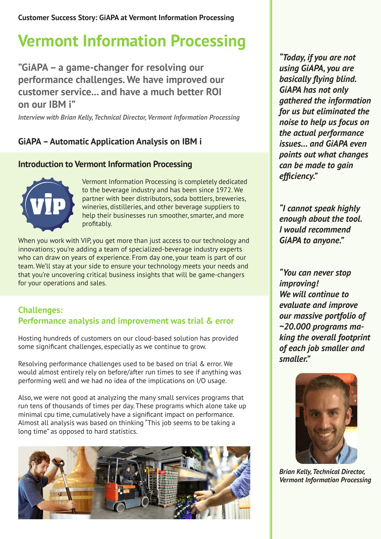**Customer Success Story: GiAPA at Vermont Information Processing**

# **Vermont Information Processing**

**"GiAPA – a game-changer for resolving our performance challenges. We have improved our customer service... and have a much better ROI on our IBM i"**

*Interview with Brian Kelly, Technical Director, Vermont Information Processing*

# **GiAPA – Automatic Application Analysis on IBM i**

## **Introduction to Vermont Information Processing**



Vermont Information Processing is completely dedicated to the beverage industry and has been since 1972. We partner with beer distributors, soda bottlers, breweries, wineries, distilleries, and other beverage suppliers to help their businesses run smoother, smarter, and more profitably.

When you work with VIP, you get more than just access to our technology and innovations; you're adding a team of specialized-beverage industry experts who can draw on years of experience. From day one, your team is part of our team. We'll stay at your side to ensure your technology meets your needs and that you're uncovering critical business insights that will be game-changers for your operations and sales.

## **Challenges: Performance analysis and improvement was trial & error**

Hosting hundreds of customers on our cloud-based solution has provided some significant challenges, especially as we continue to grow.

Resolving performance challenges used to be based on trial & error. We would almost entirely rely on before/after run times to see if anything was performing well and we had no idea of the implications on I/O usage.

Also, we were not good at analyzing the many small services programs that run tens of thousands of times per day. These programs which alone take up minimal cpu time, cumulatively have a significant impact on performance. Almost all analysis was based on thinking "This job seems to be taking a long time" as opposed to hard statistics.



*"Today, if you are not using GiAPA, you are basically flying blind. GiAPA has not only gathered the information for us but eliminated the noise to help us focus on the actual performance issues… and GiAPA even points out what changes can be made to gain efficiency."* 

*"I cannot speak highly enough about the tool. I would recommend GiAPA to anyone."*

*"You can never stop improving! We will continue to evaluate and improve our massive portfolio of ~20.000 programs making the overall footprint of each job smaller and smaller."* 



*Brian Kelly, Technical Director, Vermont Information Processing*